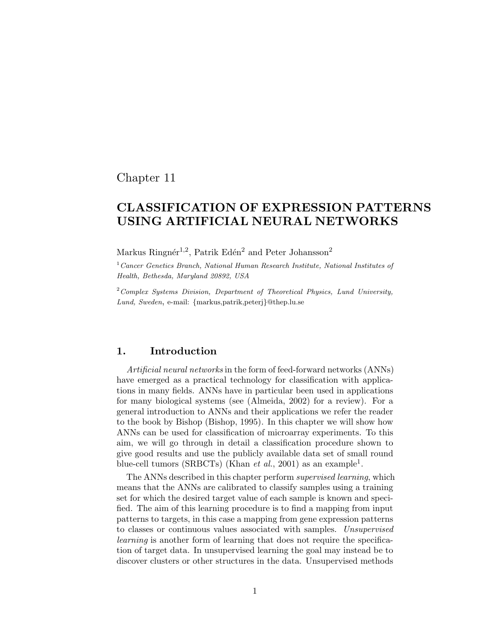# Chapter 11

# CLASSIFICATION OF EXPRESSION PATTERNS USING ARTIFICIAL NEURAL NETWORKS

Markus Ringnér<sup>1,2</sup>, Patrik Edén<sup>2</sup> and Peter Johansson<sup>2</sup>

 $1$  Cancer Genetics Branch, National Human Research Institute, National Institutes of Health, Bethesda, Maryland 20892, USA

 $2$  Complex Systems Division, Department of Theoretical Physics, Lund University, Lund, Sweden, e-mail: {markus,patrik,peterj}@thep.lu.se

#### 1. Introduction

Artificial neural networks in the form of feed-forward networks (ANNs) have emerged as a practical technology for classification with applications in many fields. ANNs have in particular been used in applications for many biological systems (see (Almeida, 2002) for a review). For a general introduction to ANNs and their applications we refer the reader to the book by Bishop (Bishop, 1995). In this chapter we will show how ANNs can be used for classification of microarray experiments. To this aim, we will go through in detail a classification procedure shown to give good results and use the publicly available data set of small round blue-cell tumors (SRBCTs) (Khan *et al.*, 2001) as an example<sup>1</sup>.

The ANNs described in this chapter perform supervised learning, which means that the ANNs are calibrated to classify samples using a training set for which the desired target value of each sample is known and specified. The aim of this learning procedure is to find a mapping from input patterns to targets, in this case a mapping from gene expression patterns to classes or continuous values associated with samples. Unsupervised learning is another form of learning that does not require the specification of target data. In unsupervised learning the goal may instead be to discover clusters or other structures in the data. Unsupervised methods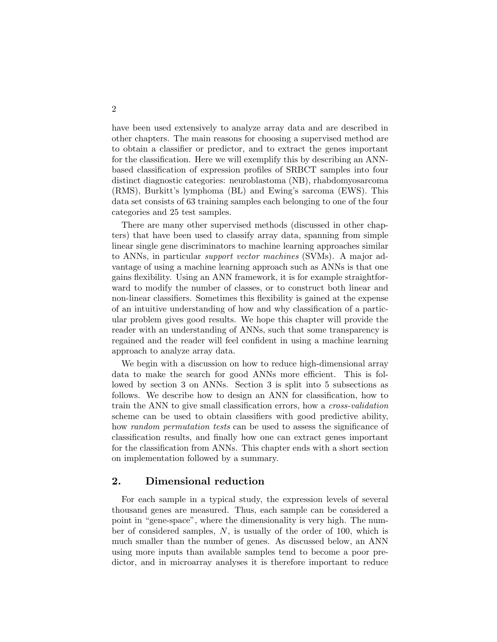have been used extensively to analyze array data and are described in other chapters. The main reasons for choosing a supervised method are to obtain a classifier or predictor, and to extract the genes important for the classification. Here we will exemplify this by describing an ANNbased classification of expression profiles of SRBCT samples into four distinct diagnostic categories: neuroblastoma (NB), rhabdomyosarcoma (RMS), Burkitt's lymphoma (BL) and Ewing's sarcoma (EWS). This data set consists of 63 training samples each belonging to one of the four categories and 25 test samples.

There are many other supervised methods (discussed in other chapters) that have been used to classify array data, spanning from simple linear single gene discriminators to machine learning approaches similar to ANNs, in particular support vector machines (SVMs). A major advantage of using a machine learning approach such as ANNs is that one gains flexibility. Using an ANN framework, it is for example straightforward to modify the number of classes, or to construct both linear and non-linear classifiers. Sometimes this flexibility is gained at the expense of an intuitive understanding of how and why classification of a particular problem gives good results. We hope this chapter will provide the reader with an understanding of ANNs, such that some transparency is regained and the reader will feel confident in using a machine learning approach to analyze array data.

We begin with a discussion on how to reduce high-dimensional array data to make the search for good ANNs more efficient. This is followed by section 3 on ANNs. Section 3 is split into 5 subsections as follows. We describe how to design an ANN for classification, how to train the ANN to give small classification errors, how a cross-validation scheme can be used to obtain classifiers with good predictive ability, how *random permutation tests* can be used to assess the significance of classification results, and finally how one can extract genes important for the classification from ANNs. This chapter ends with a short section on implementation followed by a summary.

## 2. Dimensional reduction

For each sample in a typical study, the expression levels of several thousand genes are measured. Thus, each sample can be considered a point in "gene-space", where the dimensionality is very high. The number of considered samples, N, is usually of the order of 100, which is much smaller than the number of genes. As discussed below, an ANN using more inputs than available samples tend to become a poor predictor, and in microarray analyses it is therefore important to reduce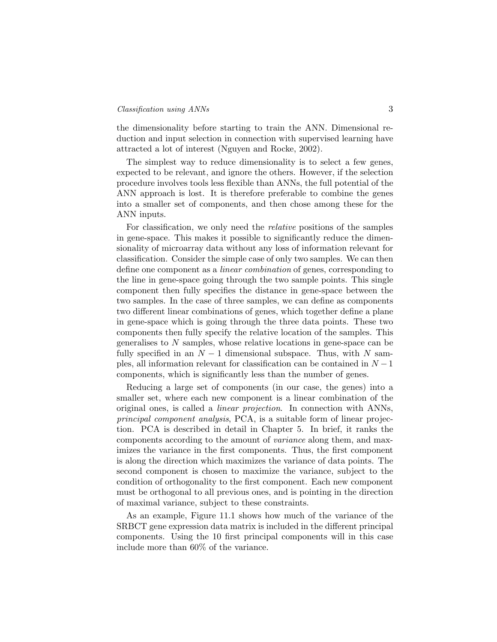#### Classification using ANNs 3

the dimensionality before starting to train the ANN. Dimensional reduction and input selection in connection with supervised learning have attracted a lot of interest (Nguyen and Rocke, 2002).

The simplest way to reduce dimensionality is to select a few genes, expected to be relevant, and ignore the others. However, if the selection procedure involves tools less flexible than ANNs, the full potential of the ANN approach is lost. It is therefore preferable to combine the genes into a smaller set of components, and then chose among these for the ANN inputs.

For classification, we only need the relative positions of the samples in gene-space. This makes it possible to significantly reduce the dimensionality of microarray data without any loss of information relevant for classification. Consider the simple case of only two samples. We can then define one component as a linear combination of genes, corresponding to the line in gene-space going through the two sample points. This single component then fully specifies the distance in gene-space between the two samples. In the case of three samples, we can define as components two different linear combinations of genes, which together define a plane in gene-space which is going through the three data points. These two components then fully specify the relative location of the samples. This generalises to  $N$  samples, whose relative locations in gene-space can be fully specified in an  $N-1$  dimensional subspace. Thus, with N samples, all information relevant for classification can be contained in  $N-1$ components, which is significantly less than the number of genes.

Reducing a large set of components (in our case, the genes) into a smaller set, where each new component is a linear combination of the original ones, is called a linear projection. In connection with ANNs, principal component analysis, PCA, is a suitable form of linear projection. PCA is described in detail in Chapter 5. In brief, it ranks the components according to the amount of variance along them, and maximizes the variance in the first components. Thus, the first component is along the direction which maximizes the variance of data points. The second component is chosen to maximize the variance, subject to the condition of orthogonality to the first component. Each new component must be orthogonal to all previous ones, and is pointing in the direction of maximal variance, subject to these constraints.

As an example, Figure 11.1 shows how much of the variance of the SRBCT gene expression data matrix is included in the different principal components. Using the 10 first principal components will in this case include more than 60% of the variance.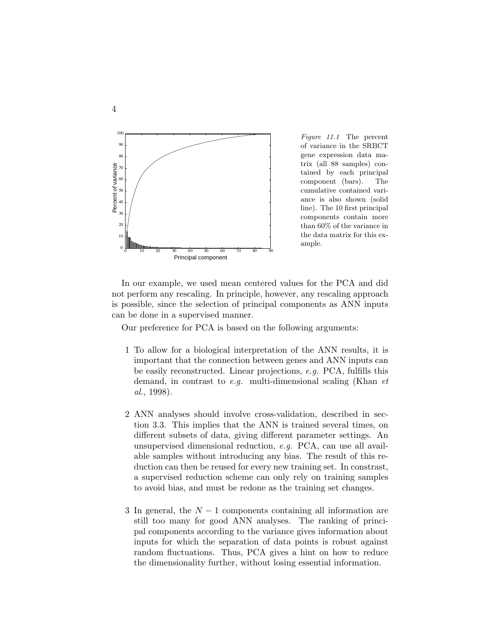

Figure 11.1 The percent of variance in the SRBCT gene expression data matrix (all 88 samples) contained by each principal component (bars). The cumulative contained variance is also shown (solid line). The 10 first principal components contain more than 60% of the variance in the data matrix for this example.

In our example, we used mean centered values for the PCA and did not perform any rescaling. In principle, however, any rescaling approach is possible, since the selection of principal components as ANN inputs can be done in a supervised manner.

Our preference for PCA is based on the following arguments:

- 1 To allow for a biological interpretation of the ANN results, it is important that the connection between genes and ANN inputs can be easily reconstructed. Linear projections, e.g. PCA, fulfills this demand, in contrast to e.g. multi-dimensional scaling (Khan et al., 1998).
- 2 ANN analyses should involve cross-validation, described in section 3.3. This implies that the ANN is trained several times, on different subsets of data, giving different parameter settings. An unsupervised dimensional reduction, e.g. PCA, can use all available samples without introducing any bias. The result of this reduction can then be reused for every new training set. In constrast, a supervised reduction scheme can only rely on training samples to avoid bias, and must be redone as the training set changes.
- 3 In general, the  $N-1$  components containing all information are still too many for good ANN analyses. The ranking of principal components according to the variance gives information about inputs for which the separation of data points is robust against random fluctuations. Thus, PCA gives a hint on how to reduce the dimensionality further, without losing essential information.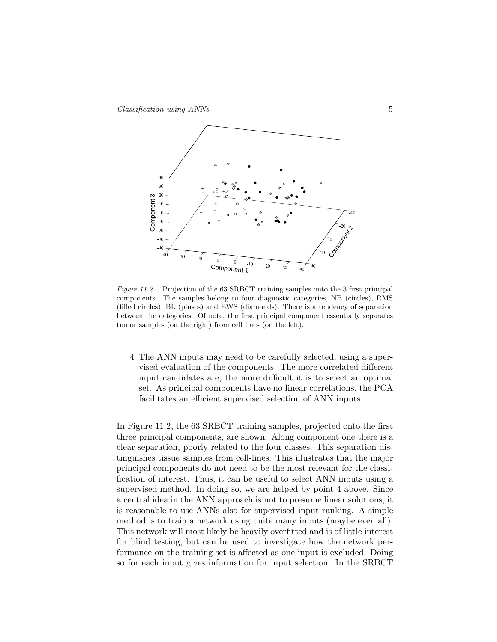

Figure 11.2. Projection of the 63 SRBCT training samples onto the 3 first principal components. The samples belong to four diagnostic categories, NB (circles), RMS (filled circles), BL (pluses) and EWS (diamonds). There is a tendency of separation between the categories. Of note, the first principal component essentially separates tumor samples (on the right) from cell lines (on the left).

4 The ANN inputs may need to be carefully selected, using a supervised evaluation of the components. The more correlated different input candidates are, the more difficult it is to select an optimal set. As principal components have no linear correlations, the PCA facilitates an efficient supervised selection of ANN inputs.

In Figure 11.2, the 63 SRBCT training samples, projected onto the first three principal components, are shown. Along component one there is a clear separation, poorly related to the four classes. This separation distinguishes tissue samples from cell-lines. This illustrates that the major principal components do not need to be the most relevant for the classification of interest. Thus, it can be useful to select ANN inputs using a supervised method. In doing so, we are helped by point 4 above. Since a central idea in the ANN approach is not to presume linear solutions, it is reasonable to use ANNs also for supervised input ranking. A simple method is to train a network using quite many inputs (maybe even all). This network will most likely be heavily overfitted and is of little interest for blind testing, but can be used to investigate how the network performance on the training set is affected as one input is excluded. Doing so for each input gives information for input selection. In the SRBCT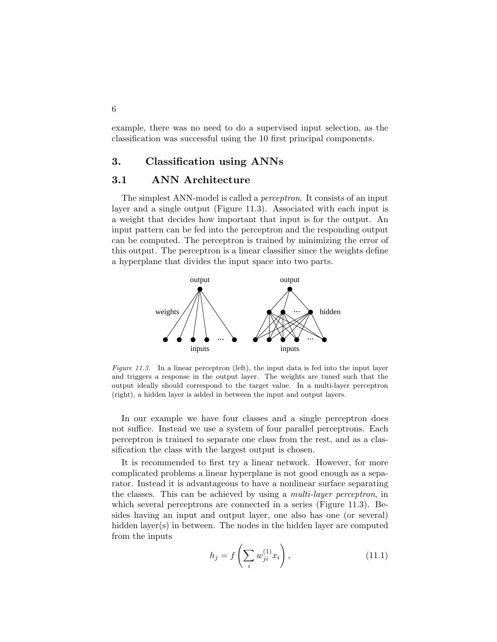example, there was no need to do a supervised input selection, as the classification was successful using the 10 first principal components.

# 3. Classification using ANNs

#### 3.1 ANN Architecture

The simplest ANN-model is called a perceptron. It consists of an input layer and a single output (Figure 11.3). Associated with each input is a weight that decides how important that input is for the output. An input pattern can be fed into the perceptron and the responding output can be computed. The perceptron is trained by minimizing the error of this output. The perceptron is a linear classifier since the weights define a hyperplane that divides the input space into two parts.



Figure 11.3. In a linear perceptron (left), the input data is fed into the input layer and triggers a response in the output layer. The weights are tuned such that the output ideally should correspond to the target value. In a multi-layer perceptron (right), a hidden layer is added in between the input and output layers.

In our example we have four classes and a single perceptron does not suffice. Instead we use a system of four parallel perceptrons. Each perceptron is trained to separate one class from the rest, and as a classification the class with the largest output is chosen.

It is recommended to first try a linear network. However, for more complicated problems a linear hyperplane is not good enough as a separator. Instead it is advantageous to have a nonlinear surface separating the classes. This can be achieved by using a multi-layer perceptron, in which several perceptrons are connected in a series (Figure 11.3). Besides having an input and output layer, one also has one (or several) hidden layer(s) in between. The nodes in the hidden layer are computed from the inputs !<br>!

$$
h_j = f\left(\sum_i w_{ji}^{(1)} x_i\right),\tag{11.1}
$$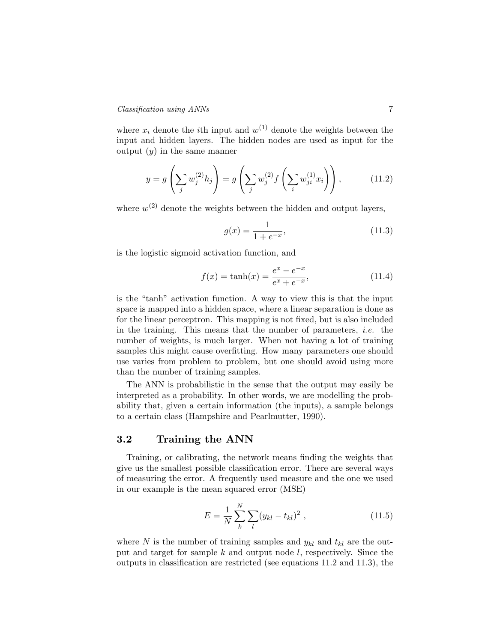where  $x_i$  denote the *i*th input and  $w^{(1)}$  denote the weights between the input and hidden layers. The hidden nodes are used as input for the output  $(y)$  in the same manner

$$
y = g\left(\sum_{j} w_j^{(2)} h_j\right) = g\left(\sum_{j} w_j^{(2)} f\left(\sum_{i} w_{ji}^{(1)} x_i\right)\right),\tag{11.2}
$$

where  $w^{(2)}$  denote the weights between the hidden and output layers,

$$
g(x) = \frac{1}{1 + e^{-x}},\tag{11.3}
$$

is the logistic sigmoid activation function, and

$$
f(x) = \tanh(x) = \frac{e^x - e^{-x}}{e^x + e^{-x}},
$$
\n(11.4)

is the "tanh" activation function. A way to view this is that the input space is mapped into a hidden space, where a linear separation is done as for the linear perceptron. This mapping is not fixed, but is also included in the training. This means that the number of parameters, i.e. the number of weights, is much larger. When not having a lot of training samples this might cause overfitting. How many parameters one should use varies from problem to problem, but one should avoid using more than the number of training samples.

The ANN is probabilistic in the sense that the output may easily be interpreted as a probability. In other words, we are modelling the probability that, given a certain information (the inputs), a sample belongs to a certain class (Hampshire and Pearlmutter, 1990).

## 3.2 Training the ANN

Training, or calibrating, the network means finding the weights that give us the smallest possible classification error. There are several ways of measuring the error. A frequently used measure and the one we used in our example is the mean squared error (MSE)

$$
E = \frac{1}{N} \sum_{k}^{N} \sum_{l} (y_{kl} - t_{kl})^2 , \qquad (11.5)
$$

where N is the number of training samples and  $y_{kl}$  and  $t_{kl}$  are the output and target for sample  $k$  and output node  $l$ , respectively. Since the outputs in classification are restricted (see equations 11.2 and 11.3), the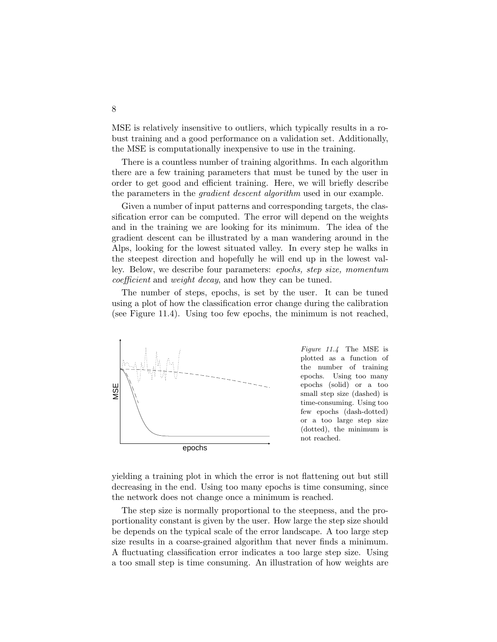MSE is relatively insensitive to outliers, which typically results in a robust training and a good performance on a validation set. Additionally, the MSE is computationally inexpensive to use in the training.

There is a countless number of training algorithms. In each algorithm there are a few training parameters that must be tuned by the user in order to get good and efficient training. Here, we will briefly describe the parameters in the gradient descent algorithm used in our example.

Given a number of input patterns and corresponding targets, the classification error can be computed. The error will depend on the weights and in the training we are looking for its minimum. The idea of the gradient descent can be illustrated by a man wandering around in the Alps, looking for the lowest situated valley. In every step he walks in the steepest direction and hopefully he will end up in the lowest valley. Below, we describe four parameters: epochs, step size, momentum coefficient and weight decay, and how they can be tuned.

The number of steps, epochs, is set by the user. It can be tuned using a plot of how the classification error change during the calibration (see Figure 11.4). Using too few epochs, the minimum is not reached,



Figure 11.4 The MSE is plotted as a function of the number of training epochs. Using too many epochs (solid) or a too small step size (dashed) is time-consuming. Using too few epochs (dash-dotted) or a too large step size (dotted), the minimum is not reached.

yielding a training plot in which the error is not flattening out but still decreasing in the end. Using too many epochs is time consuming, since the network does not change once a minimum is reached.

The step size is normally proportional to the steepness, and the proportionality constant is given by the user. How large the step size should be depends on the typical scale of the error landscape. A too large step size results in a coarse-grained algorithm that never finds a minimum. A fluctuating classification error indicates a too large step size. Using a too small step is time consuming. An illustration of how weights are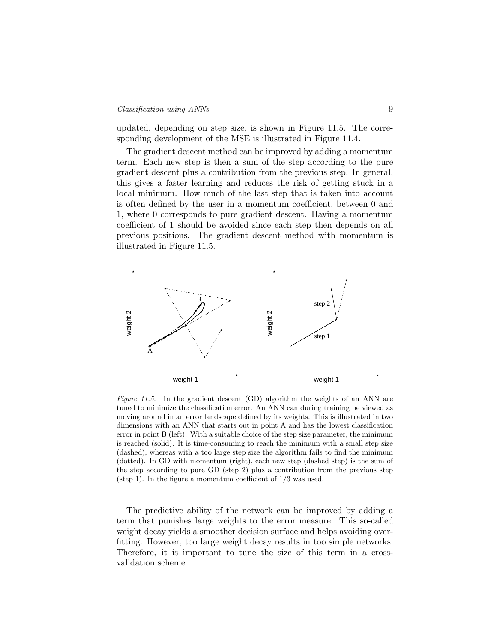#### $\emph{Classification using ANNs} \qquad \qquad 9$

updated, depending on step size, is shown in Figure 11.5. The corresponding development of the MSE is illustrated in Figure 11.4.

The gradient descent method can be improved by adding a momentum term. Each new step is then a sum of the step according to the pure gradient descent plus a contribution from the previous step. In general, this gives a faster learning and reduces the risk of getting stuck in a local minimum. How much of the last step that is taken into account is often defined by the user in a momentum coefficient, between 0 and 1, where 0 corresponds to pure gradient descent. Having a momentum coefficient of 1 should be avoided since each step then depends on all previous positions. The gradient descent method with momentum is illustrated in Figure 11.5.



Figure 11.5. In the gradient descent (GD) algorithm the weights of an ANN are tuned to minimize the classification error. An ANN can during training be viewed as moving around in an error landscape defined by its weights. This is illustrated in two dimensions with an ANN that starts out in point A and has the lowest classification error in point B (left). With a suitable choice of the step size parameter, the minimum is reached (solid). It is time-consuming to reach the minimum with a small step size (dashed), whereas with a too large step size the algorithm fails to find the minimum (dotted). In GD with momentum (right), each new step (dashed step) is the sum of the step according to pure GD (step 2) plus a contribution from the previous step (step 1). In the figure a momentum coefficient of 1/3 was used.

The predictive ability of the network can be improved by adding a term that punishes large weights to the error measure. This so-called weight decay yields a smoother decision surface and helps avoiding overfitting. However, too large weight decay results in too simple networks. Therefore, it is important to tune the size of this term in a crossvalidation scheme.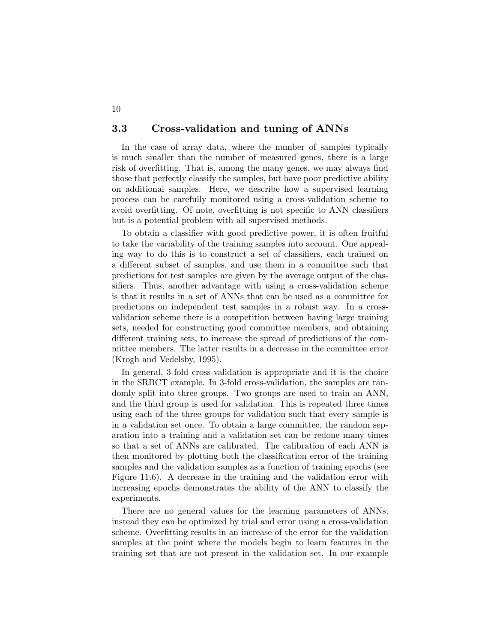# 3.3 Cross-validation and tuning of ANNs

In the case of array data, where the number of samples typically is much smaller than the number of measured genes, there is a large risk of overfitting. That is, among the many genes, we may always find those that perfectly classify the samples, but have poor predictive ability on additional samples. Here, we describe how a supervised learning process can be carefully monitored using a cross-validation scheme to avoid overfitting. Of note, overfitting is not specific to ANN classifiers but is a potential problem with all supervised methods.

To obtain a classifier with good predictive power, it is often fruitful to take the variability of the training samples into account. One appealing way to do this is to construct a set of classifiers, each trained on a different subset of samples, and use them in a committee such that predictions for test samples are given by the average output of the classifiers. Thus, another advantage with using a cross-validation scheme is that it results in a set of ANNs that can be used as a committee for predictions on independent test samples in a robust way. In a crossvalidation scheme there is a competition between having large training sets, needed for constructing good committee members, and obtaining different training sets, to increase the spread of predictions of the committee members. The latter results in a decrease in the committee error (Krogh and Vedelsby, 1995).

In general, 3-fold cross-validation is appropriate and it is the choice in the SRBCT example. In 3-fold cross-validation, the samples are randomly split into three groups. Two groups are used to train an ANN, and the third group is used for validation. This is repeated three times using each of the three groups for validation such that every sample is in a validation set once. To obtain a large committee, the random separation into a training and a validation set can be redone many times so that a set of ANNs are calibrated. The calibration of each ANN is then monitored by plotting both the classification error of the training samples and the validation samples as a function of training epochs (see Figure 11.6). A decrease in the training and the validation error with increasing epochs demonstrates the ability of the ANN to classify the experiments.

There are no general values for the learning parameters of ANNs, instead they can be optimized by trial and error using a cross-validation scheme. Overfitting results in an increase of the error for the validation samples at the point where the models begin to learn features in the training set that are not present in the validation set. In our example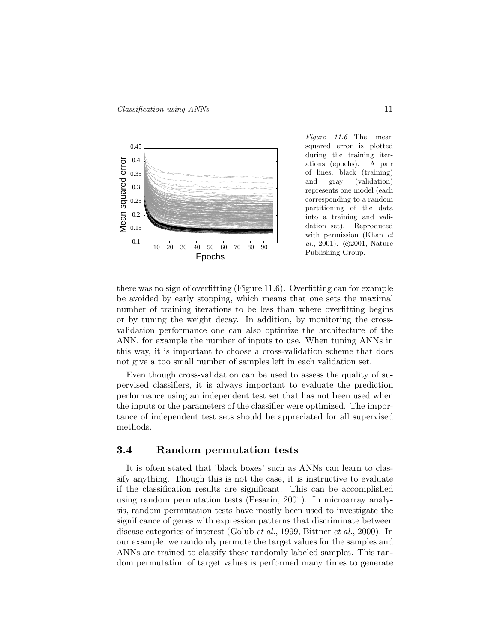

Figure 11.6 The mean squared error is plotted during the training iterations (epochs). A pair of lines, black (training) and gray (validation) represents one model (each corresponding to a random partitioning of the data into a training and validation set). Reproduced with permission (Khan et al., 2001). ©2001, Nature Publishing Group.

there was no sign of overfitting (Figure 11.6). Overfitting can for example be avoided by early stopping, which means that one sets the maximal number of training iterations to be less than where overfitting begins or by tuning the weight decay. In addition, by monitoring the crossvalidation performance one can also optimize the architecture of the ANN, for example the number of inputs to use. When tuning ANNs in this way, it is important to choose a cross-validation scheme that does not give a too small number of samples left in each validation set.

Even though cross-validation can be used to assess the quality of supervised classifiers, it is always important to evaluate the prediction performance using an independent test set that has not been used when the inputs or the parameters of the classifier were optimized. The importance of independent test sets should be appreciated for all supervised methods.

#### 3.4 Random permutation tests

It is often stated that 'black boxes' such as ANNs can learn to classify anything. Though this is not the case, it is instructive to evaluate if the classification results are significant. This can be accomplished using random permutation tests (Pesarin, 2001). In microarray analysis, random permutation tests have mostly been used to investigate the significance of genes with expression patterns that discriminate between disease categories of interest (Golub et al., 1999, Bittner et al., 2000). In our example, we randomly permute the target values for the samples and ANNs are trained to classify these randomly labeled samples. This random permutation of target values is performed many times to generate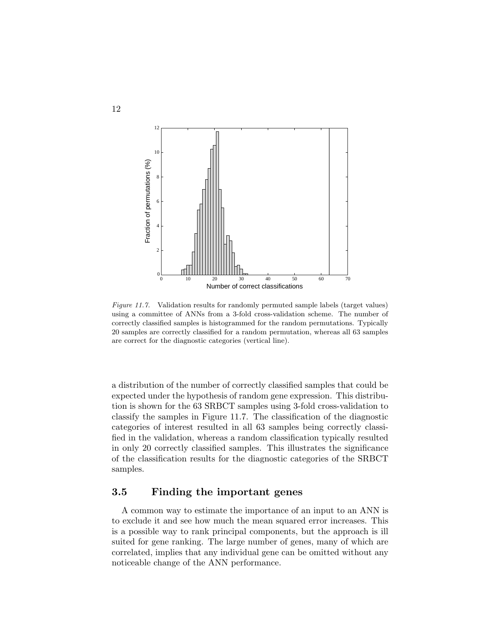

Figure 11.7. Validation results for randomly permuted sample labels (target values) using a committee of ANNs from a 3-fold cross-validation scheme. The number of correctly classified samples is histogrammed for the random permutations. Typically 20 samples are correctly classified for a random permutation, whereas all 63 samples are correct for the diagnostic categories (vertical line).

a distribution of the number of correctly classified samples that could be expected under the hypothesis of random gene expression. This distribution is shown for the 63 SRBCT samples using 3-fold cross-validation to classify the samples in Figure 11.7. The classification of the diagnostic categories of interest resulted in all 63 samples being correctly classified in the validation, whereas a random classification typically resulted in only 20 correctly classified samples. This illustrates the significance of the classification results for the diagnostic categories of the SRBCT samples.

# 3.5 Finding the important genes

A common way to estimate the importance of an input to an ANN is to exclude it and see how much the mean squared error increases. This is a possible way to rank principal components, but the approach is ill suited for gene ranking. The large number of genes, many of which are correlated, implies that any individual gene can be omitted without any noticeable change of the ANN performance.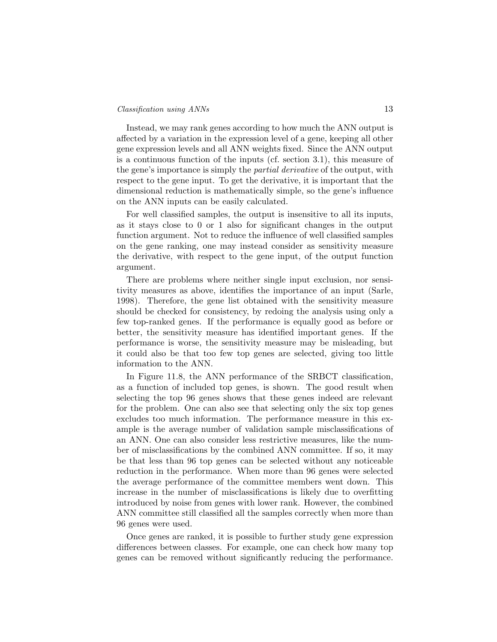#### $\emph{Classification using ANNs} \quad \qquad 13$

Instead, we may rank genes according to how much the ANN output is affected by a variation in the expression level of a gene, keeping all other gene expression levels and all ANN weights fixed. Since the ANN output is a continuous function of the inputs (cf. section 3.1), this measure of the gene's importance is simply the partial derivative of the output, with respect to the gene input. To get the derivative, it is important that the dimensional reduction is mathematically simple, so the gene's influence on the ANN inputs can be easily calculated.

For well classified samples, the output is insensitive to all its inputs, as it stays close to 0 or 1 also for significant changes in the output function argument. Not to reduce the influence of well classified samples on the gene ranking, one may instead consider as sensitivity measure the derivative, with respect to the gene input, of the output function argument.

There are problems where neither single input exclusion, nor sensitivity measures as above, identifies the importance of an input (Sarle, 1998). Therefore, the gene list obtained with the sensitivity measure should be checked for consistency, by redoing the analysis using only a few top-ranked genes. If the performance is equally good as before or better, the sensitivity measure has identified important genes. If the performance is worse, the sensitivity measure may be misleading, but it could also be that too few top genes are selected, giving too little information to the ANN.

In Figure 11.8, the ANN performance of the SRBCT classification, as a function of included top genes, is shown. The good result when selecting the top 96 genes shows that these genes indeed are relevant for the problem. One can also see that selecting only the six top genes excludes too much information. The performance measure in this example is the average number of validation sample misclassifications of an ANN. One can also consider less restrictive measures, like the number of misclassifications by the combined ANN committee. If so, it may be that less than 96 top genes can be selected without any noticeable reduction in the performance. When more than 96 genes were selected the average performance of the committee members went down. This increase in the number of misclassifications is likely due to overfitting introduced by noise from genes with lower rank. However, the combined ANN committee still classified all the samples correctly when more than 96 genes were used.

Once genes are ranked, it is possible to further study gene expression differences between classes. For example, one can check how many top genes can be removed without significantly reducing the performance.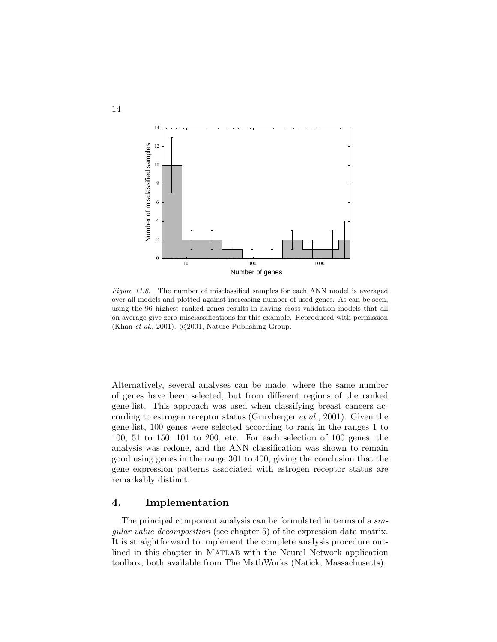

Figure 11.8. The number of misclassified samples for each ANN model is averaged over all models and plotted against increasing number of used genes. As can be seen, using the 96 highest ranked genes results in having cross-validation models that all on average give zero misclassifications for this example. Reproduced with permission (Khan et al., 2001).  $©2001$ , Nature Publishing Group.

Alternatively, several analyses can be made, where the same number of genes have been selected, but from different regions of the ranked gene-list. This approach was used when classifying breast cancers according to estrogen receptor status (Gruvberger et al., 2001). Given the gene-list, 100 genes were selected according to rank in the ranges 1 to 100, 51 to 150, 101 to 200, etc. For each selection of 100 genes, the analysis was redone, and the ANN classification was shown to remain good using genes in the range 301 to 400, giving the conclusion that the gene expression patterns associated with estrogen receptor status are remarkably distinct.

#### 4. Implementation

The principal component analysis can be formulated in terms of a singular value decomposition (see chapter 5) of the expression data matrix. It is straightforward to implement the complete analysis procedure outlined in this chapter in MATLAB with the Neural Network application toolbox, both available from The MathWorks (Natick, Massachusetts).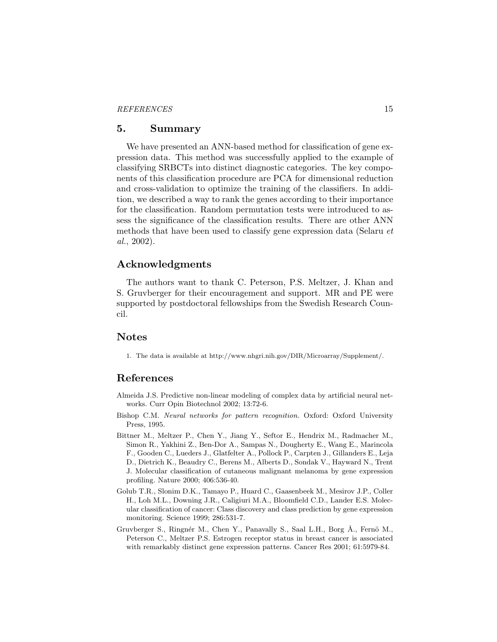#### 5. Summary

We have presented an ANN-based method for classification of gene expression data. This method was successfully applied to the example of classifying SRBCTs into distinct diagnostic categories. The key components of this classification procedure are PCA for dimensional reduction and cross-validation to optimize the training of the classifiers. In addition, we described a way to rank the genes according to their importance for the classification. Random permutation tests were introduced to assess the significance of the classification results. There are other ANN methods that have been used to classify gene expression data (Selaru et al., 2002).

## Acknowledgments

The authors want to thank C. Peterson, P.S. Meltzer, J. Khan and S. Gruvberger for their encouragement and support. MR and PE were supported by postdoctoral fellowships from the Swedish Research Council.

#### Notes

1. The data is available at http://www.nhgri.nih.gov/DIR/Microarray/Supplement/.

# References

- Almeida J.S. Predictive non-linear modeling of complex data by artificial neural networks. Curr Opin Biotechnol 2002; 13:72-6.
- Bishop C.M. Neural networks for pattern recognition. Oxford: Oxford University Press, 1995.
- Bittner M., Meltzer P., Chen Y., Jiang Y., Seftor E., Hendrix M., Radmacher M., Simon R., Yakhini Z., Ben-Dor A., Sampas N., Dougherty E., Wang E., Marincola F., Gooden C., Lueders J., Glatfelter A., Pollock P., Carpten J., Gillanders E., Leja D., Dietrich K., Beaudry C., Berens M., Alberts D., Sondak V., Hayward N., Trent J. Molecular classification of cutaneous malignant melanoma by gene expression profiling. Nature 2000; 406:536-40.
- Golub T.R., Slonim D.K., Tamayo P., Huard C., Gaasenbeek M., Mesirov J.P., Coller H., Loh M.L., Downing J.R., Caligiuri M.A., Bloomfield C.D., Lander E.S. Molecular classification of cancer: Class discovery and class prediction by gene expression monitoring. Science 1999; 286:531-7.
- Gruvberger S., Ringnér M., Chen Y., Panavally S., Saal L.H., Borg Å., Fernö M., Peterson C., Meltzer P.S. Estrogen receptor status in breast cancer is associated with remarkably distinct gene expression patterns. Cancer Res 2001; 61:5979-84.